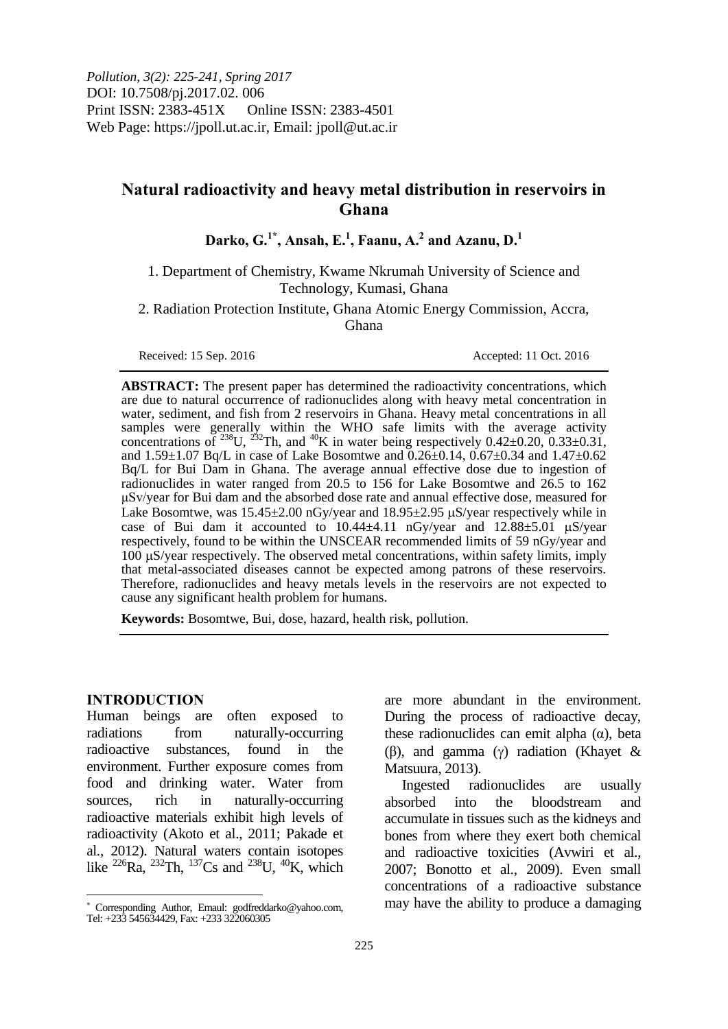# **Natural radioactivity and heavy metal distribution in reservoirs in Ghana**

**Darko, G.1\* , Ansah, E.<sup>1</sup> , Faanu, A.<sup>2</sup> and Azanu, D.<sup>1</sup>**

1. Department of Chemistry, Kwame Nkrumah University of Science and Technology, Kumasi, Ghana

2. Radiation Protection Institute, Ghana Atomic Energy Commission, Accra, Ghana

Received: 15 Sep. 2016 **Accepted: 11 Oct. 2016** 

**ABSTRACT:** The present paper has determined the radioactivity concentrations, which are due to natural occurrence of radionuclides along with heavy metal concentration in water, sediment, and fish from 2 reservoirs in Ghana. Heavy metal concentrations in all samples were generally within the WHO safe limits with the average activity concentrations of <sup>238</sup>U, <sup>232</sup>Th, and <sup>40</sup>K in water being respectively 0.42 $\pm$ 0.20, 0.33 $\pm$ 0.31, and  $1.59\pm1.07$  Bq/L in case of Lake Bosomtwe and  $0.26\pm0.14$ ,  $0.67\pm0.34$  and  $1.47\pm0.62$ Bq/L for Bui Dam in Ghana. The average annual effective dose due to ingestion of radionuclides in water ranged from 20.5 to 156 for Lake Bosomtwe and 26.5 to 162 μSv/year for Bui dam and the absorbed dose rate and annual effective dose, measured for Lake Bosomtwe, was  $15.45\pm2.00$  nGy/year and  $18.95\pm2.95$   $\mu$ S/year respectively while in case of Bui dam it accounted to  $10.44 \pm 4.11$  nGy/year and  $12.88 \pm 5.01$   $\mu$ S/year respectively, found to be within the UNSCEAR recommended limits of 59 nGy/year and 100 uS/year respectively. The observed metal concentrations, within safety limits, imply that metal-associated diseases cannot be expected among patrons of these reservoirs. Therefore, radionuclides and heavy metals levels in the reservoirs are not expected to cause any significant health problem for humans.

**Keywords:** Bosomtwe, Bui, dose, hazard, health risk, pollution.

#### **INTRODUCTION**

 $\overline{a}$ 

Human beings are often exposed to radiations from naturally-occurring radioactive substances, found in the environment. Further exposure comes from food and drinking water. Water from sources, rich in naturally-occurring radioactive materials exhibit high levels of radioactivity (Akoto et al., 2011; Pakade et al., 2012). Natural waters contain isotopes like <sup>226</sup>Ra, <sup>232</sup>Th, <sup>137</sup>Cs and <sup>238</sup>U, <sup>40</sup>K, which

are more abundant in the environment. During the process of radioactive decay, these radionuclides can emit alpha  $(α)$ , beta (β), and gamma (γ) radiation (Khayet & Matsuura, 2013).

Ingested radionuclides are usually absorbed into the bloodstream and accumulate in tissues such as the kidneys and bones from where they exert both chemical and radioactive toxicities (Avwiri et al., 2007; Bonotto et al., 2009). Even small concentrations of a radioactive substance may have the ability to produce a damaging

Corresponding Author, Emaul: godfreddarko@yahoo.com, Tel: +233 545634429, Fax: +233 322060305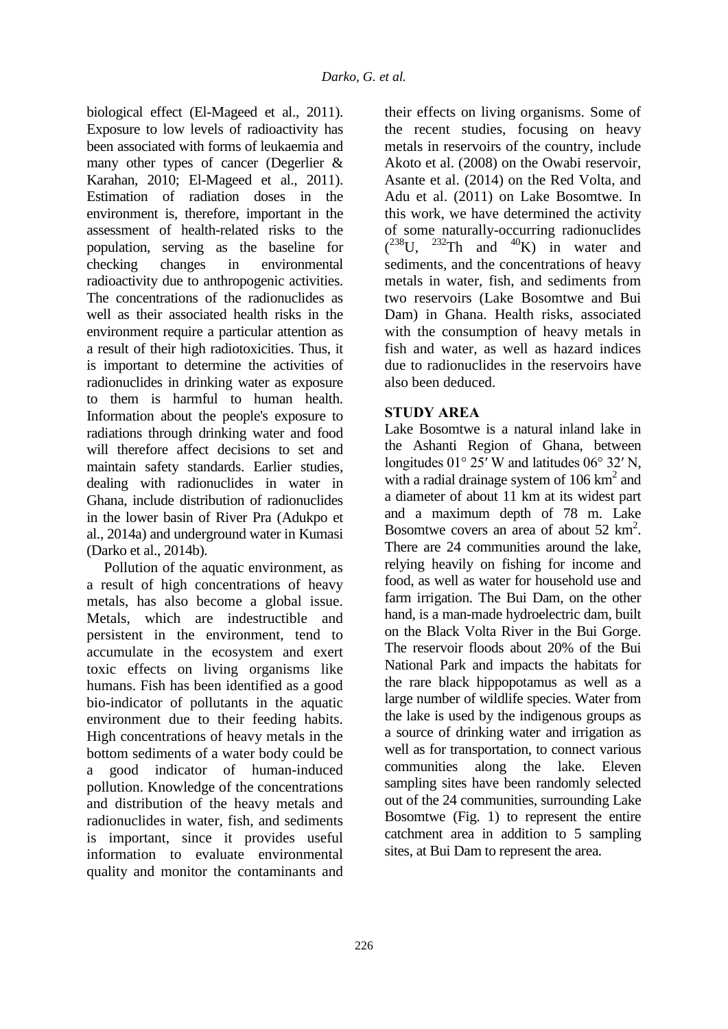biological effect (El-Mageed et al., 2011). Exposure to low levels of radioactivity has been associated with forms of leukaemia and many other types of cancer (Degerlier & Karahan, 2010; El-Mageed et al., 2011). Estimation of radiation doses in the environment is, therefore, important in the assessment of health-related risks to the population, serving as the baseline for checking changes in environmental radioactivity due to anthropogenic activities. The concentrations of the radionuclides as well as their associated health risks in the environment require a particular attention as a result of their high radiotoxicities. Thus, it is important to determine the activities of radionuclides in drinking water as exposure to them is harmful to human health. Information about the people's exposure to radiations through drinking water and food will therefore affect decisions to set and maintain safety standards. Earlier studies, dealing with radionuclides in water in Ghana, include distribution of radionuclides in the lower basin of River Pra (Adukpo et al., 2014a) and underground water in Kumasi (Darko et al., 2014b).

Pollution of the aquatic environment, as a result of high concentrations of heavy metals, has also become a global issue. Metals, which are indestructible and persistent in the environment, tend to accumulate in the ecosystem and exert toxic effects on living organisms like humans. Fish has been identified as a good bio-indicator of pollutants in the aquatic environment due to their feeding habits. High concentrations of heavy metals in the bottom sediments of a water body could be a good indicator of human-induced pollution. Knowledge of the concentrations and distribution of the heavy metals and radionuclides in water, fish, and sediments is important, since it provides useful information to evaluate environmental quality and monitor the contaminants and

their effects on living organisms. Some of the recent studies, focusing on heavy metals in reservoirs of the country, include Akoto et al. (2008) on the Owabi reservoir, Asante et al. (2014) on the Red Volta, and Adu et al. (2011) on Lake Bosomtwe. In this work, we have determined the activity of some naturally-occurring radionuclides  $(^{238}U, ^{232}Th$  and  $^{40}K)$  in water and sediments, and the concentrations of heavy metals in water, fish, and sediments from two reservoirs (Lake Bosomtwe and Bui Dam) in Ghana. Health risks, associated with the consumption of heavy metals in fish and water, as well as hazard indices due to radionuclides in the reservoirs have also been deduced.

# **STUDY AREA**

Lake Bosomtwe is a natural inland lake in the Ashanti Region of Ghana, between longitudes 01° 25′ W and latitudes 06° 32′ N, with a radial drainage system of  $106 \text{ km}^2$  and a diameter of about 11 km at its widest part and a maximum depth of 78 m. Lake Bosomtwe covers an area of about  $52 \text{ km}^2$ . There are 24 communities around the lake, relying heavily on fishing for income and food, as well as water for household use and farm irrigation. The Bui Dam, on the other hand, is a man-made hydroelectric dam, built on the Black Volta River in the Bui Gorge. The reservoir floods about 20% of the Bui National Park and impacts the habitats for the rare black hippopotamus as well as a large number of wildlife species. Water from the lake is used by the indigenous groups as a source of drinking water and irrigation as well as for transportation, to connect various communities along the lake. Eleven sampling sites have been randomly selected out of the 24 communities, surrounding Lake Bosomtwe (Fig. 1) to represent the entire catchment area in addition to 5 sampling sites, at Bui Dam to represent the area.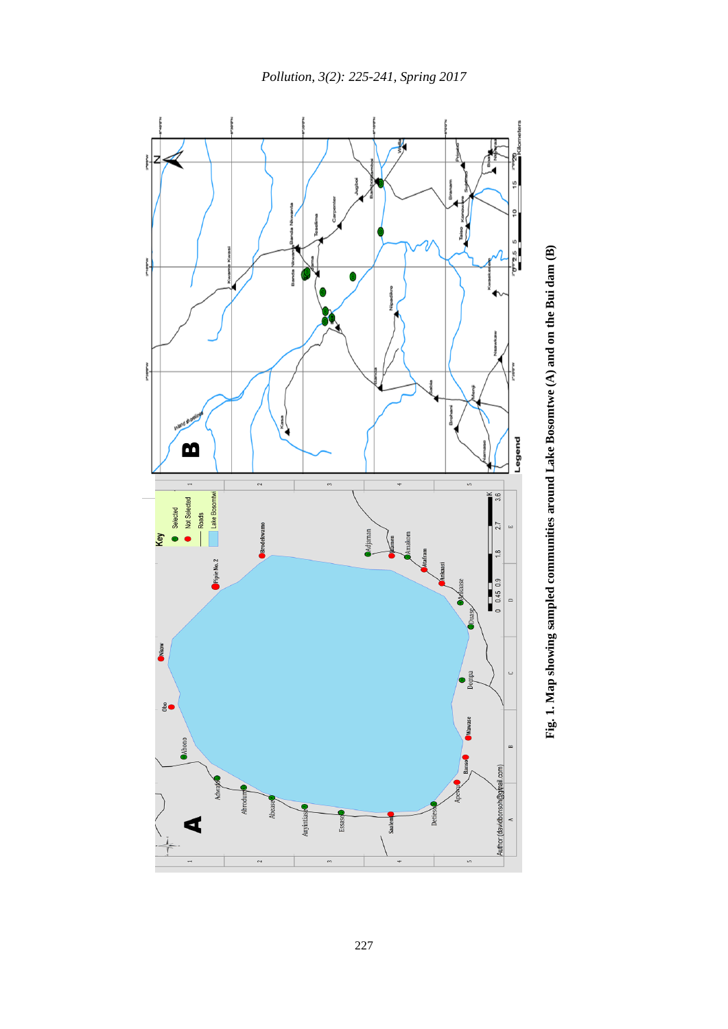

Fig. 1. Map showing sampled communities around Lake Bosomtwe (A) and on the Bui dam (B) **Fig. 1. Map showing sampled communities around Lake Bosomtwe (A) and on the Bui dam (B)**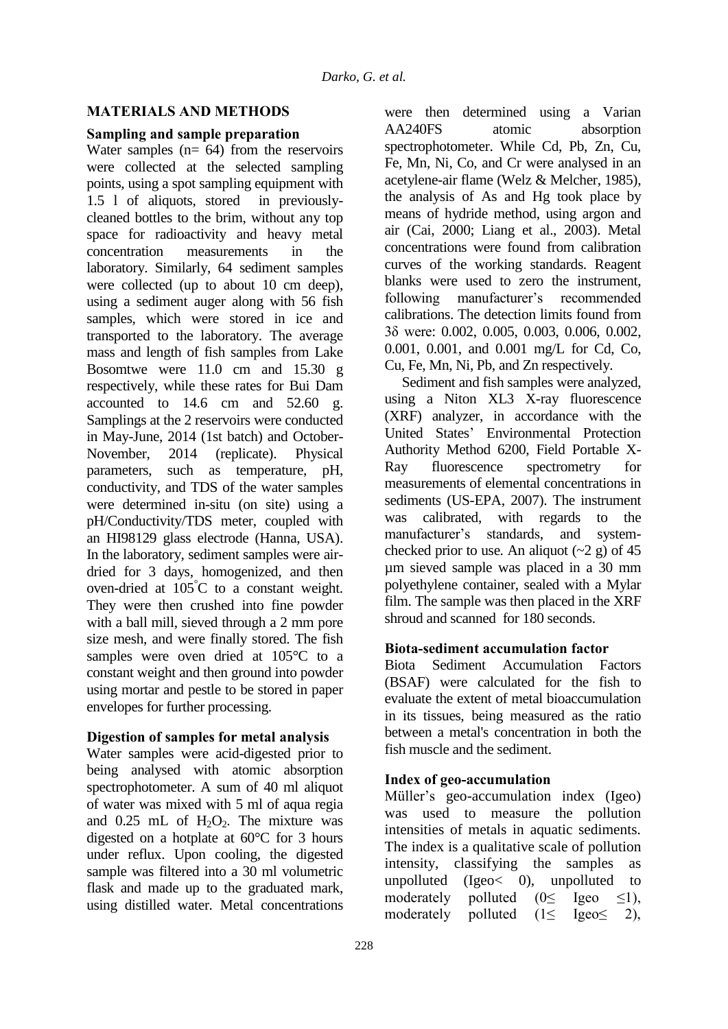# **MATERIALS AND METHODS**

# **Sampling and sample preparation**

Water samples  $(n= 64)$  from the reservoirs were collected at the selected sampling points, using a spot sampling equipment with 1.5 l of aliquots, stored in previouslycleaned bottles to the brim, without any top space for radioactivity and heavy metal concentration measurements in the laboratory. Similarly, 64 sediment samples were collected (up to about 10 cm deep), using a sediment auger along with 56 fish samples, which were stored in ice and transported to the laboratory. The average mass and length of fish samples from Lake Bosomtwe were 11.0 cm and 15.30 g respectively, while these rates for Bui Dam accounted to 14.6 cm and 52.60 g. Samplings at the 2 reservoirs were conducted in May-June, 2014 (1st batch) and October-November, 2014 (replicate). Physical parameters, such as temperature, pH, conductivity, and TDS of the water samples were determined in-situ (on site) using a pH/Conductivity/TDS meter, coupled with an HI98129 glass electrode (Hanna, USA). In the laboratory, sediment samples were airdried for 3 days, homogenized, and then oven-dried at 105°C to a constant weight. They were then crushed into fine powder with a ball mill, sieved through a 2 mm pore size mesh, and were finally stored. The fish samples were oven dried at 105°C to a constant weight and then ground into powder using mortar and pestle to be stored in paper envelopes for further processing.

# **Digestion of samples for metal analysis**

Water samples were acid-digested prior to being analysed with atomic absorption spectrophotometer. A sum of 40 ml aliquot of water was mixed with 5 ml of aqua regia and  $0.25$  mL of  $H_2O_2$ . The mixture was digested on a hotplate at 60°C for 3 hours under reflux. Upon cooling, the digested sample was filtered into a 30 ml volumetric flask and made up to the graduated mark, using distilled water. Metal concentrations were then determined using a Varian AA240FS atomic absorption spectrophotometer. While Cd, Pb, Zn, Cu, Fe, Mn, Ni, Co, and Cr were analysed in an acetylene-air flame (Welz & Melcher, 1985), the analysis of As and Hg took place by means of hydride method, using argon and air (Cai, 2000; Liang et al., 2003). Metal concentrations were found from calibration curves of the working standards. Reagent blanks were used to zero the instrument, following manufacturer's recommended calibrations. The detection limits found from 3δ were: 0.002, 0.005, 0.003, 0.006, 0.002, 0.001, 0.001, and 0.001 mg/L for Cd, Co, Cu, Fe, Mn, Ni, Pb, and Zn respectively.

Sediment and fish samples were analyzed, using a Niton XL3 X-ray fluorescence (XRF) analyzer, in accordance with the United States' Environmental Protection Authority Method 6200, Field Portable X-Ray fluorescence spectrometry for measurements of elemental concentrations in sediments (US-EPA, 2007). The instrument was calibrated, with regards to the manufacturer's standards, and systemchecked prior to use. An aliquot  $({\sim}2 \text{ g})$  of 45 µm sieved sample was placed in a 30 mm polyethylene container, sealed with a Mylar film. The sample was then placed in the XRF shroud and scanned for 180 seconds.

# **Biota-sediment accumulation factor**

Biota Sediment Accumulation Factors (BSAF) were calculated for the fish to evaluate the extent of metal bioaccumulation in its tissues, being measured as the ratio between a metal's concentration in both the fish muscle and the sediment.

# **Index of geo-accumulation**

Müller's geo-accumulation index (Igeo) was used to measure the pollution intensities of metals in aquatic sediments. The index is a qualitative scale of pollution intensity, classifying the samples as unpolluted (Igeo< 0), unpolluted to moderately polluted ( $0 \le$  Igeo  $\le$ 1), moderately polluted  $(1 \leq \text{Igeo} \leq 2)$ ,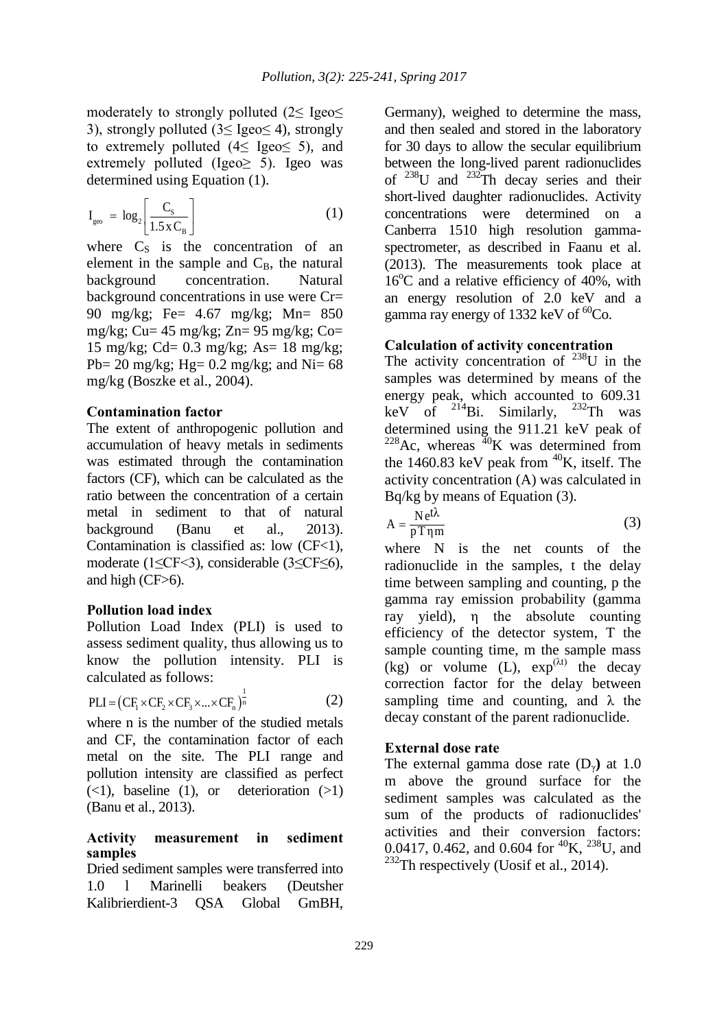moderately to strongly polluted (2≤ Igeo≤ 3), strongly polluted (3≤ Igeo≤ 4), strongly to extremely polluted  $(4 \leq \text{Igeo} \leq 5)$ , and extremely polluted (Igeo $\ge$  5). Igeo was determined using Equation (1).

$$
I_{\rm geo} = \log_2 \left[ \frac{C_{\rm s}}{1.5 \, \text{x} \, C_{\rm B}} \right] \tag{1}
$$

where  $C_s$  is the concentration of an element in the sample and  $C_{\text{B}}$ , the natural background concentration. Natural background concentrations in use were Cr= 90 mg/kg; Fe= 4.67 mg/kg; Mn= 850 mg/kg; Cu=  $45 \text{ mg/kg}$ ; Zn=  $95 \text{ mg/kg}$ ; Co= 15 mg/kg; Cd= 0.3 mg/kg; As= 18 mg/kg; Pb= 20 mg/kg; Hg=  $0.2$  mg/kg; and Ni=  $68$ mg/kg (Boszke et al., 2004).

#### **Contamination factor**

The extent of anthropogenic pollution and accumulation of heavy metals in sediments was estimated through the contamination factors (CF), which can be calculated as the ratio between the concentration of a certain metal in sediment to that of natural background (Banu et al., 2013). Contamination is classified as: low  $(CF<1)$ , moderate (1≤CF<3), considerable (3≤CF≤6), and high (CF>6).

### **Pollution load index**

Pollution Load Index (PLI) is used to assess sediment quality, thus allowing us to know the pollution intensity. PLI is calculated as follows:

$$
PLI = (CF_1 \times CF_2 \times CF_3 \times ... \times CF_n)^{\frac{1}{n}}
$$
 (2)

where n is the number of the studied metals and CF, the contamination factor of each metal on the site. The PLI range and pollution intensity are classified as perfect  $(\leq 1)$ , baseline (1), or deterioration  $(\geq 1)$ (Banu et al., 2013).

### **Activity measurement in sediment samples**

Dried sediment samples were transferred into 1.0 l Marinelli beakers (Deutsher Kalibrierdient-3 QSA Global GmBH,

Germany), weighed to determine the mass, and then sealed and stored in the laboratory for 30 days to allow the secular equilibrium between the long-lived parent radionuclides of  $238$ U and  $232$ Th decay series and their short-lived daughter radionuclides. Activity concentrations were determined on a Canberra 1510 high resolution gammaspectrometer, as described in Faanu et al. (2013). The measurements took place at  $16^{\circ}$ C and a relative efficiency of 40%, with an energy resolution of 2.0 keV and a gamma ray energy of 1332 keV of  ${}^{60}Co$ .

# **Calculation of activity concentration**

The activity concentration of  $^{238}$ U in the samples was determined by means of the energy peak, which accounted to 609.31 keV of  $^{214}$ Bi. Similarly,  $^{232}$ Th was determined using the 911.21 keV peak of  $^{228}$ Ac, whereas  $^{40}$ K was determined from the 1460.83 keV peak from  ${}^{40}$ K, itself. The activity concentration (A) was calculated in Bq/kg by means of Equation (3).

$$
A = \frac{Ne^{t\lambda}}{pT\eta m}
$$
 (3)

where N is the net counts of the radionuclide in the samples, t the delay time between sampling and counting, p the gamma ray emission probability (gamma ray yield), η the absolute counting efficiency of the detector system, T the sample counting time, m the sample mass  $(kg)$  or volume (L),  $exp^{(\lambda t)}$  the decay correction factor for the delay between sampling time and counting, and  $\lambda$  the decay constant of the parent radionuclide.

### **External dose rate**

The external gamma dose rate (Dγ**)** at 1.0 m above the ground surface for the sediment samples was calculated as the sum of the products of radionuclides' activities and their conversion factors: 0.0417, 0.462, and 0.604 for <sup>40</sup>K, <sup>238</sup>U, and  $232$ Th respectively (Uosif et al., 2014).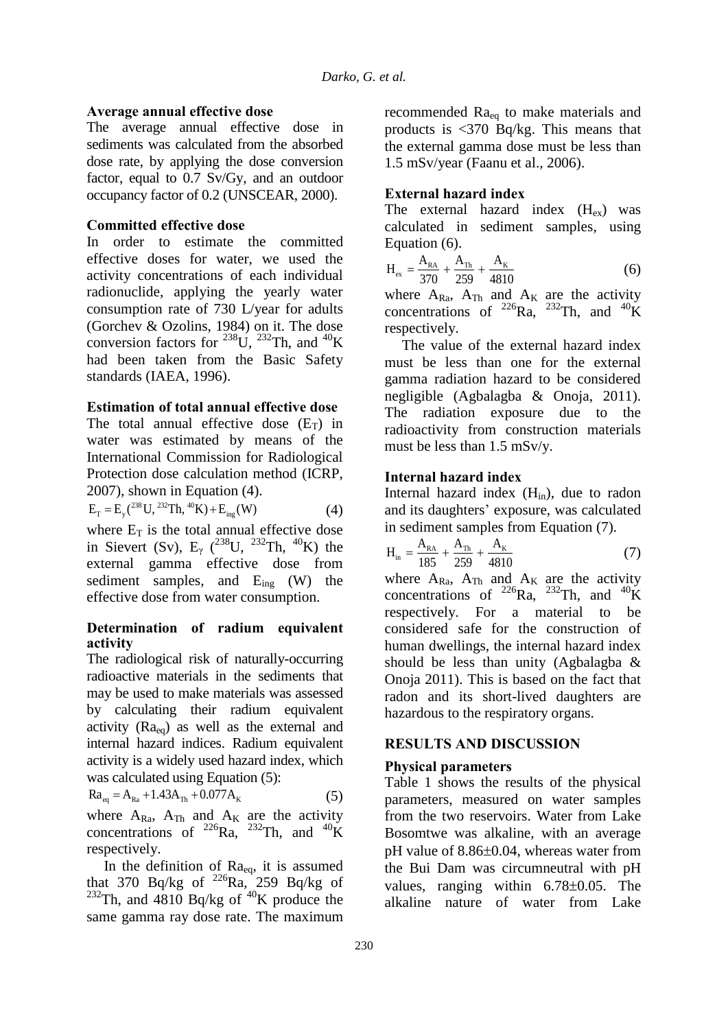### **Average annual effective dose**

The average annual effective dose in sediments was calculated from the absorbed dose rate, by applying the dose conversion factor, equal to 0.7 Sv/Gy, and an outdoor occupancy factor of 0.2 (UNSCEAR, 2000).

# **Committed effective dose**

In order to estimate the committed effective doses for water, we used the activity concentrations of each individual radionuclide, applying the yearly water consumption rate of 730 L/year for adults (Gorchev & Ozolins, 1984) on it. The dose conversion factors for <sup>238</sup>U, <sup>232</sup>Th, and <sup>40</sup>K had been taken from the Basic Safety standards (IAEA, 1996).

### **Estimation of total annual effective dose**

The total annual effective dose  $(E_T)$  in water was estimated by means of the International Commission for Radiological Protection dose calculation method (ICRP,

2007), shown in Equation (4).  
\n
$$
E_T = E_y^{238} U^{232} Th, {}^{40}K) + E_{ing}(W)
$$
\n(4)

where  $E_T$  is the total annual effective dose in Sievert (Sv),  $E_{\gamma}$  (<sup>238</sup>U, <sup>232</sup>Th, <sup>40</sup>K) the external gamma effective dose from sediment samples, and  $E_{\text{ing}}$  (W) the effective dose from water consumption.

### **Determination of radium equivalent activity**

The radiological risk of naturally-occurring radioactive materials in the sediments that may be used to make materials was assessed by calculating their radium equivalent activity  $(Ra_{eq})$  as well as the external and internal hazard indices. Radium equivalent activity is a widely used hazard index, which

was calculated using Equation (5):  
\n
$$
Ra_{eq} = A_{Ra} + 1.43A_{Th} + 0.077A_{K}
$$
\n(5)

where  $A_{Ra}$ ,  $A_{Th}$  and  $A_K$  are the activity concentrations of <sup>226</sup>Ra, <sup>232</sup>Th, and <sup>40</sup>K respectively.

In the definition of  $Ra_{eq}$ , it is assumed that 370 Bq/kg of  $^{226}$ Ra, 259 Bq/kg of  $^{232}$ Th, and  $4810$  Bq/kg of  $^{40}$ K produce the same gamma ray dose rate. The maximum

recommended Raeq to make materials and products is <370 Bq/kg. This means that the external gamma dose must be less than 1.5 mSv/year (Faanu et al., 2006).

# **External hazard index**

The external hazard index  $(H_{ex})$  was calculated in sediment samples, using Equation (6).

$$
H_{ex} = \frac{A_{RA}}{370} + \frac{A_{Th}}{259} + \frac{A_{K}}{4810}
$$
 (6)

where  $A_{Ra}$ ,  $A_{Th}$  and  $A_K$  are the activity concentrations of <sup>226</sup>Ra, <sup>232</sup>Th, and <sup>40</sup>K respectively.

The value of the external hazard index must be less than one for the external gamma radiation hazard to be considered negligible (Agbalagba & Onoja, 2011). The radiation exposure due to the radioactivity from construction materials must be less than 1.5 mSv/y.

# **Internal hazard index**

Internal hazard index  $(H_{in})$ , due to radon and its daughters' exposure, was calculated in sediment samples from Equation (7).

$$
H_{in} = \frac{A_{RA}}{185} + \frac{A_{Th}}{259} + \frac{A_{K}}{4810}
$$
 (7)

where  $A_{Ra}$ ,  $A_{Th}$  and  $A_K$  are the activity concentrations of <sup>226</sup>Ra, <sup>232</sup>Th, and <sup>40</sup>K respectively. For a material to be considered safe for the construction of human dwellings, the internal hazard index should be less than unity (Agbalagba & Onoja 2011). This is based on the fact that radon and its short-lived daughters are hazardous to the respiratory organs.

# **RESULTS AND DISCUSSION**

# **Physical parameters**

Table 1 shows the results of the physical parameters, measured on water samples from the two reservoirs. Water from Lake Bosomtwe was alkaline, with an average  $pH$  value of 8.86 $\pm$ 0.04, whereas water from the Bui Dam was circumneutral with pH values, ranging within  $6.78 \pm 0.05$ . The alkaline nature of water from Lake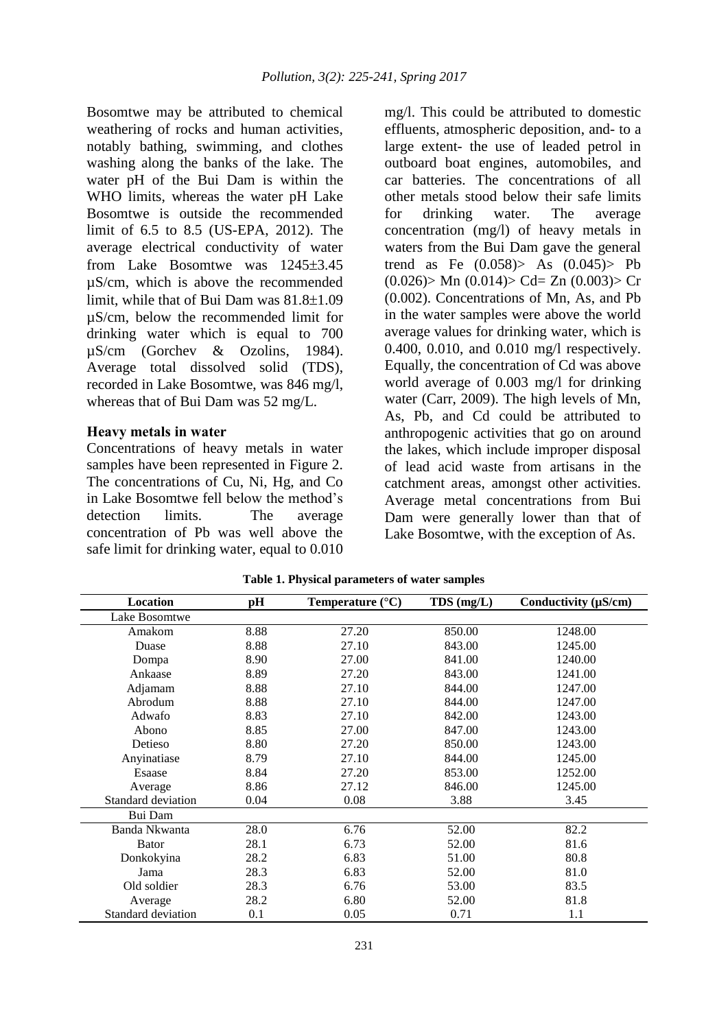Bosomtwe may be attributed to chemical weathering of rocks and human activities, notably bathing, swimming, and clothes washing along the banks of the lake. The water pH of the Bui Dam is within the WHO limits, whereas the water pH Lake Bosomtwe is outside the recommended limit of 6.5 to 8.5 (US-EPA, 2012). The average electrical conductivity of water from Lake Bosomtwe was  $1245\pm3.45$ µS/cm, which is above the recommended limit, while that of Bui Dam was  $81.8\pm1.09$ µS/cm, below the recommended limit for drinking water which is equal to 700 µS/cm (Gorchev & Ozolins, 1984). Average total dissolved solid (TDS), recorded in Lake Bosomtwe, was 846 mg/l, whereas that of Bui Dam was 52 mg/L.

### **Heavy metals in water**

Concentrations of heavy metals in water samples have been represented in Figure 2. The concentrations of Cu, Ni, Hg, and Co in Lake Bosomtwe fell below the method's detection limits. The average concentration of Pb was well above the safe limit for drinking water, equal to 0.010

mg/l. This could be attributed to domestic effluents, atmospheric deposition, and- to a large extent- the use of leaded petrol in outboard boat engines, automobiles, and car batteries. The concentrations of all other metals stood below their safe limits for drinking water. The average concentration (mg/l) of heavy metals in waters from the Bui Dam gave the general trend as Fe  $(0.058) > As$   $(0.045) > Pb$  $(0.026)$  Mn  $(0.014)$  Cd= Zn  $(0.003)$  Cr (0.002). Concentrations of Mn, As, and Pb in the water samples were above the world average values for drinking water, which is 0.400, 0.010, and 0.010 mg/l respectively. Equally, the concentration of Cd was above world average of 0.003 mg/l for drinking water (Carr, 2009). The high levels of Mn, As, Pb, and Cd could be attributed to anthropogenic activities that go on around the lakes, which include improper disposal of lead acid waste from artisans in the catchment areas, amongst other activities. Average metal concentrations from Bui Dam were generally lower than that of Lake Bosomtwe, with the exception of As.

| Location           | pH   | Temperature $(^{\circ}C)$ | $TDS$ (mg/L) | Conductivity $(\mu S/cm)$ |
|--------------------|------|---------------------------|--------------|---------------------------|
| Lake Bosomtwe      |      |                           |              |                           |
| Amakom             | 8.88 | 27.20                     | 850.00       | 1248.00                   |
| Duase              | 8.88 | 27.10                     | 843.00       | 1245.00                   |
| Dompa              | 8.90 | 27.00                     | 841.00       | 1240.00                   |
| Ankaase            | 8.89 | 27.20                     | 843.00       | 1241.00                   |
| Adjamam            | 8.88 | 27.10                     | 844.00       | 1247.00                   |
| Abrodum            | 8.88 | 27.10                     | 844.00       | 1247.00                   |
| Adwafo             | 8.83 | 27.10                     | 842.00       | 1243.00                   |
| Abono              | 8.85 | 27.00                     | 847.00       | 1243.00                   |
| Detieso            | 8.80 | 27.20                     | 850.00       | 1243.00                   |
| Anyinatiase        | 8.79 | 27.10                     | 844.00       | 1245.00                   |
| Esaase             | 8.84 | 27.20                     | 853.00       | 1252.00                   |
| Average            | 8.86 | 27.12                     | 846.00       | 1245.00                   |
| Standard deviation | 0.04 | 0.08                      | 3.88         | 3.45                      |
| Bui Dam            |      |                           |              |                           |
| Banda Nkwanta      | 28.0 | 6.76                      | 52.00        | 82.2                      |
| Bator              | 28.1 | 6.73                      | 52.00        | 81.6                      |
| Donkokyina         | 28.2 | 6.83                      | 51.00        | 80.8                      |
| Jama               | 28.3 | 6.83                      | 52.00        | 81.0                      |
| Old soldier        | 28.3 | 6.76                      | 53.00        | 83.5                      |
| Average            | 28.2 | 6.80                      | 52.00        | 81.8                      |
| Standard deviation | 0.1  | 0.05                      | 0.71         | 1.1                       |

**Table 1. Physical parameters of water samples**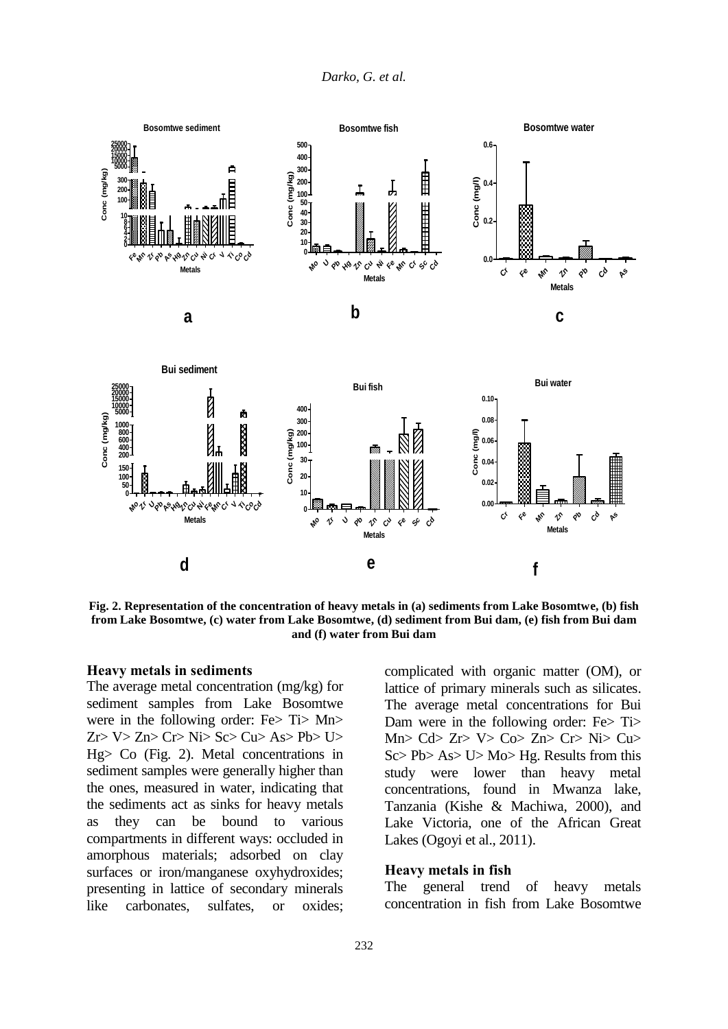



**Fig. 2. Representation of the concentration of heavy metals in (a) sediments from Lake Bosomtwe, (b) fish from Lake Bosomtwe, (c) water from Lake Bosomtwe, (d) sediment from Bui dam, (e) fish from Bui dam and (f) water from Bui dam**

#### **Heavy metals in sediments**

The average metal concentration (mg/kg) for sediment samples from Lake Bosomtwe were in the following order: Fe> Ti> Mn> Zr> V> Zn> Cr> Ni> Sc> Cu> As> Pb> U> Hg> Co (Fig. 2). Metal concentrations in sediment samples were generally higher than the ones, measured in water, indicating that the sediments act as sinks for heavy metals as they can be bound to various compartments in different ways: occluded in amorphous materials; adsorbed on clay surfaces or iron/manganese oxyhydroxides; presenting in lattice of secondary minerals like carbonates, sulfates, or oxides;

complicated with organic matter (OM), or lattice of primary minerals such as silicates. The average metal concentrations for Bui Dam were in the following order: Fe $>$  Ti $>$ Mn>  $C$ d>  $Zr$ >  $V$ >  $C_0$ >  $Zr$   $Cr$ >  $N$ i>  $Cu$ > Sc> Pb> As> U> Mo> Hg. Results from this study were lower than heavy metal concentrations, found in Mwanza lake, Tanzania (Kishe & Machiwa, 2000), and Lake Victoria, one of the African Great Lakes (Ogoyi et al., 2011).

#### **Heavy metals in fish**

The general trend of heavy metals concentration in fish from Lake Bosomtwe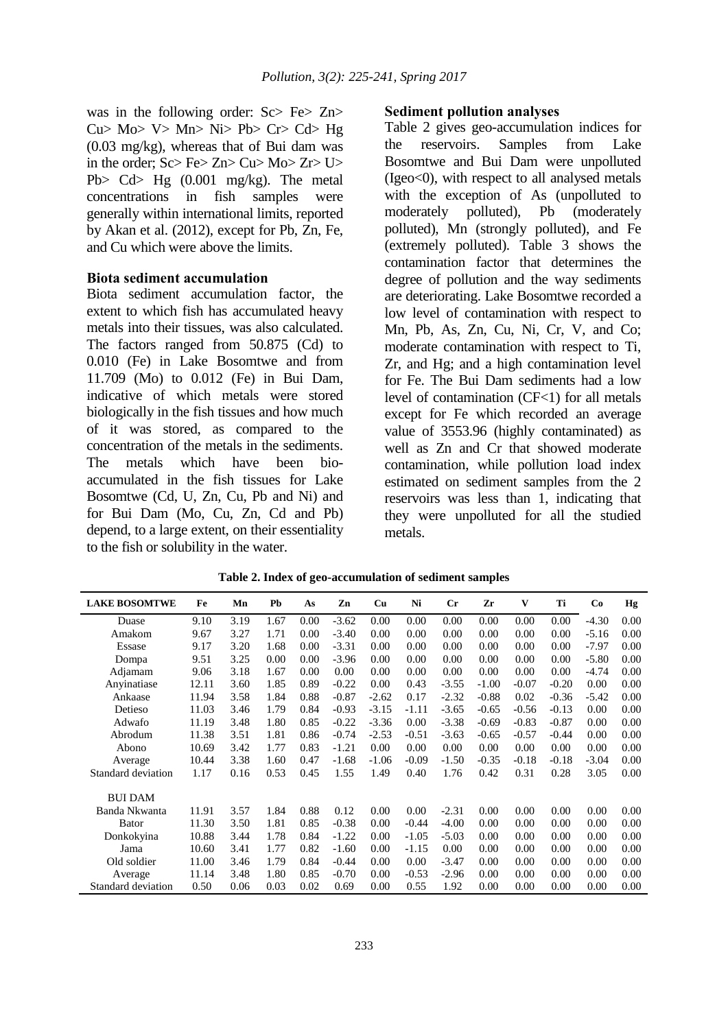was in the following order: Sc> Fe> Zn>  $Cu$  Mo V> Mn Ni Pb Cr Cd Hg (0.03 mg/kg), whereas that of Bui dam was in the order; Sc> Fe> Zn> Cu> Mo> Zr> U> Pb> Cd> Hg (0.001 mg/kg). The metal concentrations in fish samples were generally within international limits, reported by Akan et al. (2012), except for Pb, Zn, Fe, and Cu which were above the limits.

#### **Biota sediment accumulation**

Biota sediment accumulation factor, the extent to which fish has accumulated heavy metals into their tissues, was also calculated. The factors ranged from 50.875 (Cd) to 0.010 (Fe) in Lake Bosomtwe and from 11.709 (Mo) to 0.012 (Fe) in Bui Dam, indicative of which metals were stored biologically in the fish tissues and how much of it was stored, as compared to the concentration of the metals in the sediments. The metals which have been bioaccumulated in the fish tissues for Lake Bosomtwe (Cd, U, Zn, Cu, Pb and Ni) and for Bui Dam (Mo, Cu, Zn, Cd and Pb) depend, to a large extent, on their essentiality to the fish or solubility in the water.

#### **Sediment pollution analyses**

Table 2 gives geo-accumulation indices for the reservoirs. Samples from Lake Bosomtwe and Bui Dam were unpolluted (Igeo<0), with respect to all analysed metals with the exception of As (unpolluted to moderately polluted), Pb (moderately polluted), Mn (strongly polluted), and Fe (extremely polluted). Table 3 shows the contamination factor that determines the degree of pollution and the way sediments are deteriorating. Lake Bosomtwe recorded a low level of contamination with respect to Mn, Pb, As, Zn, Cu, Ni, Cr, V, and Co; moderate contamination with respect to Ti, Zr, and Hg; and a high contamination level for Fe. The Bui Dam sediments had a low level of contamination (CF<1) for all metals except for Fe which recorded an average value of 3553.96 (highly contaminated) as well as Zn and Cr that showed moderate contamination, while pollution load index estimated on sediment samples from the 2 reservoirs was less than 1, indicating that they were unpolluted for all the studied metals.

| <b>LAKE BOSOMTWE</b> | Fe    | Mn   | Pb   | As   | Zn      | Cu      | Ni      | $_{\rm Cr}$ | Zr      | V       | Ti      | Co      | Hg   |
|----------------------|-------|------|------|------|---------|---------|---------|-------------|---------|---------|---------|---------|------|
| Duase                | 9.10  | 3.19 | 1.67 | 0.00 | $-3.62$ | 0.00    | 0.00    | 0.00        | 0.00    | 0.00    | 0.00    | $-4.30$ | 0.00 |
| Amakom               | 9.67  | 3.27 | 1.71 | 0.00 | $-3.40$ | 0.00    | 0.00    | 0.00        | 0.00    | 0.00    | 0.00    | $-5.16$ | 0.00 |
| Essase               | 9.17  | 3.20 | 1.68 | 0.00 | $-3.31$ | 0.00    | 0.00    | 0.00        | 0.00    | 0.00    | 0.00    | $-7.97$ | 0.00 |
| Dompa                | 9.51  | 3.25 | 0.00 | 0.00 | $-3.96$ | 0.00    | 0.00    | 0.00        | 0.00    | 0.00    | 0.00    | $-5.80$ | 0.00 |
| Adjamam              | 9.06  | 3.18 | 1.67 | 0.00 | 0.00    | 0.00    | 0.00    | 0.00        | 0.00    | 0.00    | 0.00    | $-4.74$ | 0.00 |
| Anvinatiase          | 12.11 | 3.60 | 1.85 | 0.89 | $-0.22$ | 0.00    | 0.43    | $-3.55$     | $-1.00$ | $-0.07$ | $-0.20$ | 0.00    | 0.00 |
| Ankaase              | 11.94 | 3.58 | 1.84 | 0.88 | $-0.87$ | $-2.62$ | 0.17    | $-2.32$     | $-0.88$ | 0.02    | $-0.36$ | $-5.42$ | 0.00 |
| Detieso              | 11.03 | 3.46 | 1.79 | 0.84 | $-0.93$ | $-3.15$ | $-1.11$ | $-3.65$     | $-0.65$ | $-0.56$ | $-0.13$ | 0.00    | 0.00 |
| Adwafo               | 11.19 | 3.48 | 1.80 | 0.85 | $-0.22$ | $-3.36$ | 0.00    | $-3.38$     | $-0.69$ | $-0.83$ | $-0.87$ | 0.00    | 0.00 |
| Abrodum              | 11.38 | 3.51 | 1.81 | 0.86 | $-0.74$ | $-2.53$ | $-0.51$ | $-3.63$     | $-0.65$ | $-0.57$ | $-0.44$ | 0.00    | 0.00 |
| Abono                | 10.69 | 3.42 | 1.77 | 0.83 | $-1.21$ | 0.00    | 0.00    | 0.00        | 0.00    | 0.00    | 0.00    | 0.00    | 0.00 |
| Average              | 10.44 | 3.38 | 1.60 | 0.47 | $-1.68$ | $-1.06$ | $-0.09$ | $-1.50$     | $-0.35$ | $-0.18$ | $-0.18$ | $-3.04$ | 0.00 |
| Standard deviation   | 1.17  | 0.16 | 0.53 | 0.45 | 1.55    | 1.49    | 0.40    | 1.76        | 0.42    | 0.31    | 0.28    | 3.05    | 0.00 |
| <b>BUI DAM</b>       |       |      |      |      |         |         |         |             |         |         |         |         |      |
| Banda Nkwanta        | 11.91 | 3.57 | 1.84 | 0.88 | 0.12    | 0.00    | 0.00    | $-2.31$     | 0.00    | 0.00    | 0.00    | 0.00    | 0.00 |
| Bator                | 11.30 | 3.50 | 1.81 | 0.85 | $-0.38$ | 0.00    | $-0.44$ | $-4.00$     | 0.00    | 0.00    | 0.00    | 0.00    | 0.00 |
| Donkokyina           | 10.88 | 3.44 | 1.78 | 0.84 | $-1.22$ | 0.00    | $-1.05$ | $-5.03$     | 0.00    | 0.00    | 0.00    | 0.00    | 0.00 |
| Jama                 | 10.60 | 3.41 | 1.77 | 0.82 | $-1.60$ | 0.00    | $-1.15$ | 0.00        | 0.00    | 0.00    | 0.00    | 0.00    | 0.00 |
| Old soldier          | 11.00 | 3.46 | 1.79 | 0.84 | $-0.44$ | 0.00    | 0.00    | $-3.47$     | 0.00    | 0.00    | 0.00    | 0.00    | 0.00 |
| Average              | 11.14 | 3.48 | 1.80 | 0.85 | $-0.70$ | 0.00    | $-0.53$ | $-2.96$     | 0.00    | 0.00    | 0.00    | 0.00    | 0.00 |
| Standard deviation   | 0.50  | 0.06 | 0.03 | 0.02 | 0.69    | 0.00    | 0.55    | 1.92        | 0.00    | 0.00    | 0.00    | 0.00    | 0.00 |

**Table 2. Index of geo-accumulation of sediment samples**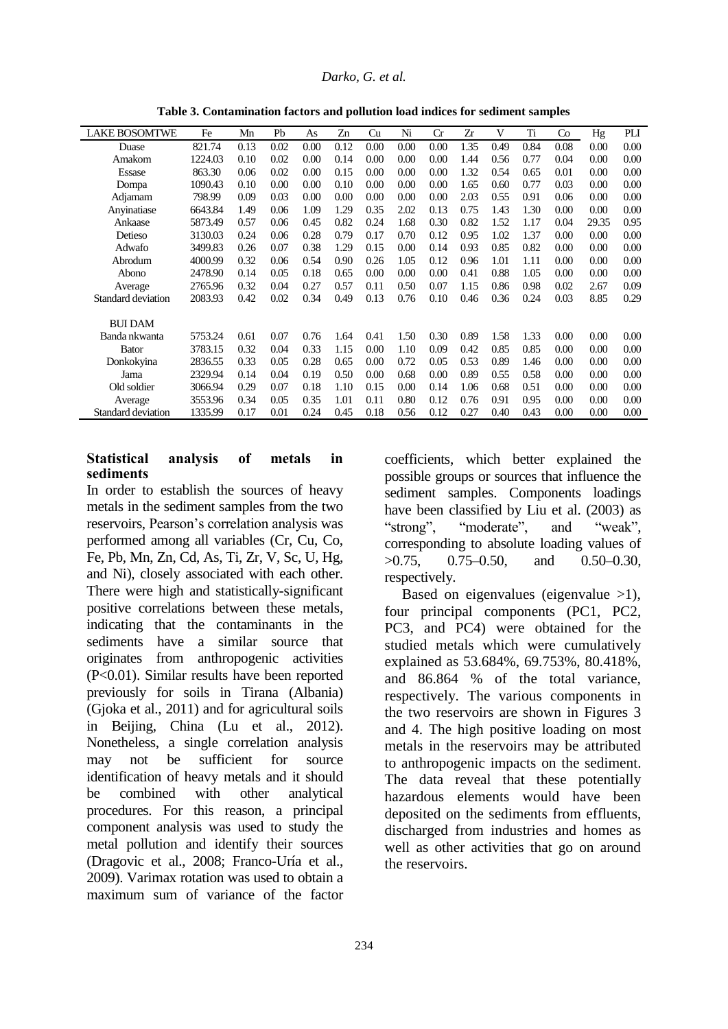| <b>LAKE BOSOMTWE</b> | Fe      | Mn   | Pb   | As   | Zn   | Cu   | Ni   | Cr   | Zr   | V    | Ti   | Co   | Hg    | PLI  |
|----------------------|---------|------|------|------|------|------|------|------|------|------|------|------|-------|------|
| Duase                | 821.74  | 0.13 | 0.02 | 0.00 | 0.12 | 0.00 | 0.00 | 0.00 | 1.35 | 0.49 | 0.84 | 0.08 | 0.00  | 0.00 |
| Amakom               | 1224.03 | 0.10 | 0.02 | 0.00 | 0.14 | 0.00 | 0.00 | 0.00 | 1.44 | 0.56 | 0.77 | 0.04 | 0.00  | 0.00 |
| Essase               | 863.30  | 0.06 | 0.02 | 0.00 | 0.15 | 0.00 | 0.00 | 0.00 | 1.32 | 0.54 | 0.65 | 0.01 | 0.00  | 0.00 |
| Dompa                | 1090.43 | 0.10 | 0.00 | 0.00 | 0.10 | 0.00 | 0.00 | 0.00 | 1.65 | 0.60 | 0.77 | 0.03 | 0.00  | 0.00 |
| Adjamam              | 798.99  | 0.09 | 0.03 | 0.00 | 0.00 | 0.00 | 0.00 | 0.00 | 2.03 | 0.55 | 0.91 | 0.06 | 0.00  | 0.00 |
| Anyinatiase          | 6643.84 | 1.49 | 0.06 | 1.09 | 1.29 | 0.35 | 2.02 | 0.13 | 0.75 | 1.43 | 1.30 | 0.00 | 0.00  | 0.00 |
| Ankaase              | 5873.49 | 0.57 | 0.06 | 0.45 | 0.82 | 0.24 | 1.68 | 0.30 | 0.82 | 1.52 | 1.17 | 0.04 | 29.35 | 0.95 |
| Detieso              | 3130.03 | 0.24 | 0.06 | 0.28 | 0.79 | 0.17 | 0.70 | 0.12 | 0.95 | 1.02 | 1.37 | 0.00 | 0.00  | 0.00 |
| Adwafo               | 3499.83 | 0.26 | 0.07 | 0.38 | 1.29 | 0.15 | 0.00 | 0.14 | 0.93 | 0.85 | 0.82 | 0.00 | 0.00  | 0.00 |
| Abrodum              | 4000.99 | 0.32 | 0.06 | 0.54 | 0.90 | 0.26 | 1.05 | 0.12 | 0.96 | 1.01 | 1.11 | 0.00 | 0.00  | 0.00 |
| Abono                | 2478.90 | 0.14 | 0.05 | 0.18 | 0.65 | 0.00 | 0.00 | 0.00 | 0.41 | 0.88 | 1.05 | 0.00 | 0.00  | 0.00 |
| Average              | 2765.96 | 0.32 | 0.04 | 0.27 | 0.57 | 0.11 | 0.50 | 0.07 | 1.15 | 0.86 | 0.98 | 0.02 | 2.67  | 0.09 |
| Standard deviation   | 2083.93 | 0.42 | 0.02 | 0.34 | 0.49 | 0.13 | 0.76 | 0.10 | 0.46 | 0.36 | 0.24 | 0.03 | 8.85  | 0.29 |
| <b>BUI DAM</b>       |         |      |      |      |      |      |      |      |      |      |      |      |       |      |
| Banda nkwanta        | 5753.24 | 0.61 | 0.07 | 0.76 | 1.64 | 0.41 | 1.50 | 0.30 | 0.89 | 1.58 | 1.33 | 0.00 | 0.00  | 0.00 |
| <b>Bator</b>         | 3783.15 | 0.32 | 0.04 | 0.33 | 1.15 | 0.00 | 1.10 | 0.09 | 0.42 | 0.85 | 0.85 | 0.00 | 0.00  | 0.00 |
| Donkokyina           | 2836.55 | 0.33 | 0.05 | 0.28 | 0.65 | 0.00 | 0.72 | 0.05 | 0.53 | 0.89 | 1.46 | 0.00 | 0.00  | 0.00 |
| Jama                 | 2329.94 | 0.14 | 0.04 | 0.19 | 0.50 | 0.00 | 0.68 | 0.00 | 0.89 | 0.55 | 0.58 | 0.00 | 0.00  | 0.00 |
| Old soldier          | 3066.94 | 0.29 | 0.07 | 0.18 | 1.10 | 0.15 | 0.00 | 0.14 | 1.06 | 0.68 | 0.51 | 0.00 | 0.00  | 0.00 |
| Average              | 3553.96 | 0.34 | 0.05 | 0.35 | 1.01 | 0.11 | 0.80 | 0.12 | 0.76 | 0.91 | 0.95 | 0.00 | 0.00  | 0.00 |
| Standard deviation   | 1335.99 | 0.17 | 0.01 | 0.24 | 0.45 | 0.18 | 0.56 | 0.12 | 0.27 | 0.40 | 0.43 | 0.00 | 0.00  | 0.00 |

**Table 3. Contamination factors and pollution load indices for sediment samples**

#### **Statistical analysis of metals in sediments**

In order to establish the sources of heavy metals in the sediment samples from the two reservoirs, Pearson's correlation analysis was performed among all variables (Cr, Cu, Co, Fe, Pb, Mn, Zn, Cd, As, Ti, Zr, V, Sc, U, Hg, and Ni), closely associated with each other. There were high and statistically-significant positive correlations between these metals, indicating that the contaminants in the sediments have a similar source that originates from anthropogenic activities (P<0.01). Similar results have been reported previously for soils in Tirana (Albania) (Gjoka et al., 2011) and for agricultural soils in Beijing, China (Lu et al., 2012). Nonetheless, a single correlation analysis may not be sufficient for source identification of heavy metals and it should be combined with other analytical procedures. For this reason, a principal component analysis was used to study the metal pollution and identify their sources (Dragovic et al., 2008; Franco-Uría et al., 2009). Varimax rotation was used to obtain a maximum sum of variance of the factor

coefficients, which better explained the possible groups or sources that influence the sediment samples. Components loadings have been classified by Liu et al. (2003) as "strong", "moderate", and "weak", corresponding to absolute loading values of >0.75, 0.75–0.50, and 0.50–0.30, respectively.

Based on eigenvalues (eigenvalue  $>1$ ), four principal components (PC1, PC2, PC3, and PC4) were obtained for the studied metals which were cumulatively explained as 53.684%, 69.753%, 80.418%, and 86.864 % of the total variance, respectively. The various components in the two reservoirs are shown in Figures 3 and 4. The high positive loading on most metals in the reservoirs may be attributed to anthropogenic impacts on the sediment. The data reveal that these potentially hazardous elements would have been deposited on the sediments from effluents, discharged from industries and homes as well as other activities that go on around the reservoirs.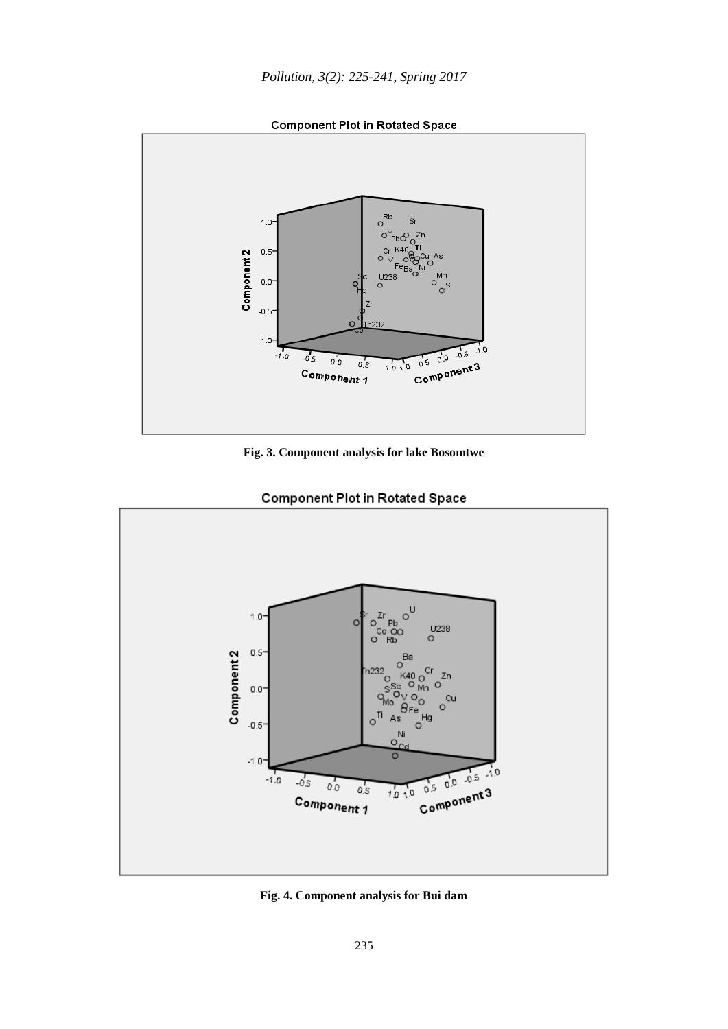

**Component Plot in Rotated Space** 





**Component Plot in Rotated Space** 

**Fig. 4. Component analysis for Bui dam**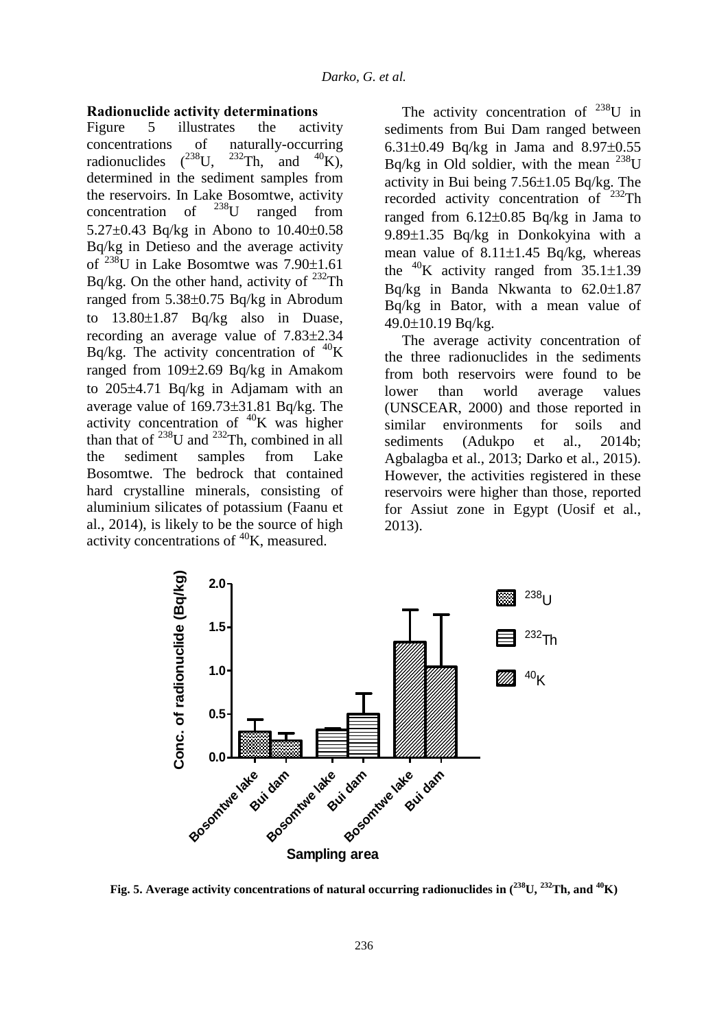#### **Radionuclide activity determinations**

Figure 5 illustrates the activity concentrations of naturally-occurring radionuclides  $(^{238}U$ .  $232$ Th, and  $40$ K), determined in the sediment samples from the reservoirs. In Lake Bosomtwe, activity<br>concentration of  $^{238}$ U ranged from concentration of  $^{238}$ U ranged from  $5.27\pm0.43$  Bq/kg in Abono to  $10.40\pm0.58$ Bq/kg in Detieso and the average activity of  $^{238}$ U in Lake Bosomtwe was  $7.90\pm1.61$ Bq/kg. On the other hand, activity of  $^{232}$ Th ranged from  $5.38\pm0.75$  Bq/kg in Abrodum to  $13.80 \pm 1.87$  Bq/kg also in Duase, recording an average value of  $7.83\pm2.34$ Bq/kg. The activity concentration of  ${}^{40}$ K ranged from  $109\pm2.69$  Bq/kg in Amakom to 205±4.71 Bq/kg in Adjamam with an average value of  $169.73\pm31.81$  Bq/kg. The activity concentration of  ${}^{40}$ K was higher than that of  $^{238}$ U and  $^{232}$ Th, combined in all the sediment samples from Lake Bosomtwe. The bedrock that contained hard crystalline minerals, consisting of aluminium silicates of potassium (Faanu et al., 2014), is likely to be the source of high activity concentrations of  ${}^{40}$ K, measured.

The activity concentration of  $^{238}$ U in sediments from Bui Dam ranged between 6.31 $\pm$ 0.49 Bq/kg in Jama and 8.97 $\pm$ 0.55 Bq/kg in Old soldier, with the mean  $^{238}$ U activity in Bui being  $7.56\pm1.05$  Bq/kg. The recorded activity concentration of <sup>232</sup>Th ranged from  $6.12\pm0.85$  Bq/kg in Jama to 9.89 $\pm$ 1.35 Bq/kg in Donkokyina with a mean value of  $8.11 \pm 1.45$  Bq/kg, whereas the <sup>40</sup>K activity ranged from  $35.1 \pm 1.39$ Bq/kg in Banda Nkwanta to  $62.0 \pm 1.87$ Bq/kg in Bator, with a mean value of  $49.0 \pm 10.19$  Bq/kg.

The average activity concentration of the three radionuclides in the sediments from both reservoirs were found to be lower than world average values (UNSCEAR, 2000) and those reported in similar environments for soils and sediments (Adukpo et al., 2014b; Agbalagba et al., 2013; Darko et al., 2015). However, the activities registered in these reservoirs were higher than those, reported for Assiut zone in Egypt (Uosif et al., 2013).



**Fig. 5.** Average activity concentrations of natural occurring radionuclides in  $(^{238}\text{U},\,^{232}\text{Th},$  and  $^{40}\text{K})$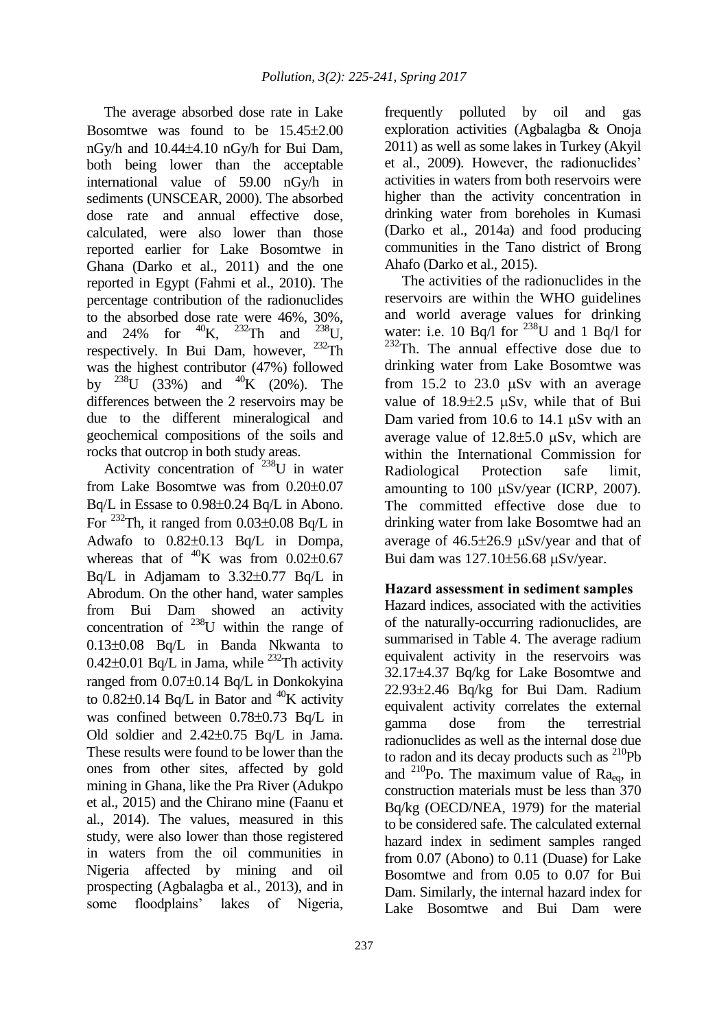The average absorbed dose rate in Lake Bosomtwe was found to be  $15.45\pm2.00$ nGy/h and  $10.44\pm4.10$  nGy/h for Bui Dam, both being lower than the acceptable international value of 59.00 nGy/h in sediments (UNSCEAR, 2000). The absorbed dose rate and annual effective dose, calculated, were also lower than those reported earlier for Lake Bosomtwe in Ghana (Darko et al., 2011) and the one reported in Egypt (Fahmi et al., 2010). The percentage contribution of the radionuclides to the absorbed dose rate were 46%, 30%,<br>and 24% for  $^{40}$ K,  $^{232}$ Th and  $^{238}$ U, and  $24\%$  for  $^{232}$ Th and  $^{238}$ U, respectively. In Bui Dam, however, <sup>232</sup>Th was the highest contributor (47%) followed by  $^{238}$ U (33%) and  $^{40}$ K (20%). The differences between the 2 reservoirs may be due to the different mineralogical and geochemical compositions of the soils and rocks that outcrop in both study areas.

Activity concentration of  $238$ U in water from Lake Bosomtwe was from  $0.20 \pm 0.07$  $Bq/L$  in Essase to 0.98 $\pm$ 0.24 Bq/L in Abono. For <sup>232</sup>Th, it ranged from  $0.03\pm0.08$  Bq/L in Adwafo to  $0.82\pm0.13$  Bq/L in Dompa, whereas that of  ${}^{40}$ K was from 0.02+0.67 Bq/L in Adjamam to  $3.32\pm0.77$  Bq/L in Abrodum. On the other hand, water samples from Bui Dam showed an activity concentration of  $^{238}$ U within the range of  $0.13\pm0.08$  Bq/L in Banda Nkwanta to 0.42 $\pm$ 0.01 Bq/L in Jama, while <sup>232</sup>Th activity ranged from  $0.07\pm0.14$  Bq/L in Donkokyina to  $0.82\pm0.14$  Bq/L in Bator and <sup>40</sup>K activity was confined between  $0.78\pm0.73$  Bq/L in Old soldier and  $2.42\pm0.75$  Bq/L in Jama. These results were found to be lower than the ones from other sites, affected by gold mining in Ghana, like the Pra River (Adukpo et al., 2015) and the Chirano mine (Faanu et al., 2014). The values, measured in this study, were also lower than those registered in waters from the oil communities in Nigeria affected by mining and oil prospecting (Agbalagba et al., 2013), and in some floodplains' lakes of Nigeria,

frequently polluted by oil and gas exploration activities (Agbalagba & Onoja 2011) as well as some lakes in Turkey (Akyil et al., 2009). However, the radionuclides' activities in waters from both reservoirs were higher than the activity concentration in drinking water from boreholes in Kumasi (Darko et al., 2014a) and food producing communities in the Tano district of Brong Ahafo (Darko et al., 2015).

The activities of the radionuclides in the reservoirs are within the WHO guidelines and world average values for drinking water: i.e. 10 Bq/l for  $^{238}$ U and 1 Bq/l for  $232$ Th. The annual effective dose due to drinking water from Lake Bosomtwe was from  $15.2$  to  $23.0$   $\mu Sv$  with an average value of  $18.9\pm2.5$  uSv, while that of Bui Dam varied from  $10.6$  to  $14.1$   $\mu$ Sv with an average value of  $12.8 \pm 5.0$  uSv, which are within the International Commission for Radiological Protection safe limit, amounting to  $100 \mu Sv/year$  (ICRP, 2007). The committed effective dose due to drinking water from lake Bosomtwe had an average of  $46.5\pm26.9$   $\mu$ Sv/year and that of Bui dam was  $127.10\pm56.68$   $\mu$ Sv/year.

# **Hazard assessment in sediment samples**

Hazard indices, associated with the activities of the naturally-occurring radionuclides, are summarised in Table 4. The average radium equivalent activity in the reservoirs was 32.17±4.37 Bq/kg for Lake Bosomtwe and 22.93±2.46 Bq/kg for Bui Dam. Radium equivalent activity correlates the external gamma dose from the terrestrial radionuclides as well as the internal dose due to radon and its decay products such as  $^{210}Pb$ and  $^{210}$ Po. The maximum value of Ra<sub>eq</sub>, in construction materials must be less than 370 Bq/kg (OECD/NEA, 1979) for the material to be considered safe. The calculated external hazard index in sediment samples ranged from 0.07 (Abono) to 0.11 (Duase) for Lake Bosomtwe and from 0.05 to 0.07 for Bui Dam. Similarly, the internal hazard index for Lake Bosomtwe and Bui Dam were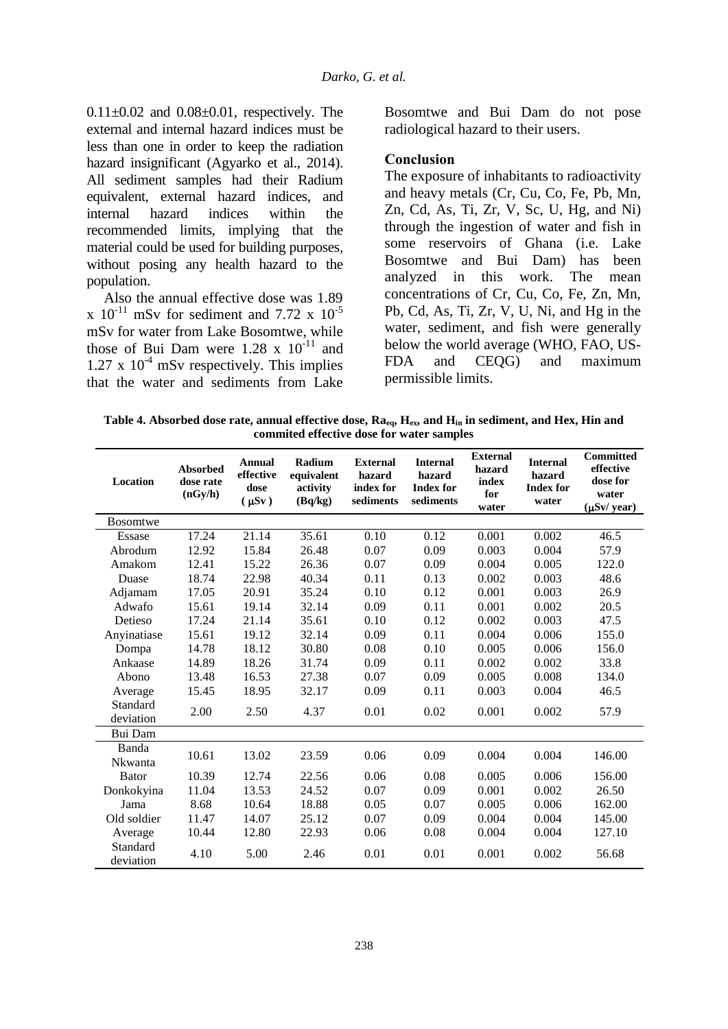$0.11\pm0.02$  and  $0.08\pm0.01$ , respectively. The external and internal hazard indices must be less than one in order to keep the radiation hazard insignificant (Agyarko et al., 2014). All sediment samples had their Radium equivalent, external hazard indices, and internal hazard indices within the recommended limits, implying that the material could be used for building purposes, without posing any health hazard to the population.

Also the annual effective dose was 1.89 x  $10^{-11}$  mSv for sediment and 7.72 x  $10^{-5}$ mSv for water from Lake Bosomtwe, while those of Bui Dam were  $1.28 \times 10^{-11}$  and  $1.27 \times 10^{-4}$  mSv respectively. This implies that the water and sediments from Lake Bosomtwe and Bui Dam do not pose radiological hazard to their users.

### **Conclusion**

The exposure of inhabitants to radioactivity and heavy metals (Cr, Cu, Co, Fe, Pb, Mn, Zn, Cd, As, Ti, Zr, V, Sc, U, Hg, and Ni) through the ingestion of water and fish in some reservoirs of Ghana (i.e. Lake Bosomtwe and Bui Dam) has been analyzed in this work. The mean concentrations of Cr, Cu, Co, Fe, Zn, Mn, Pb, Cd, As, Ti, Zr, V, U, Ni, and Hg in the water, sediment, and fish were generally below the world average (WHO, FAO, US-FDA and CEQG) and maximum permissible limits.

**Table 4. Absorbed dose rate, annual effective dose, Raeq, Hex, and Hin in sediment, and Hex, Hin and commited effective dose for water samples**

| Location              | <b>Absorbed</b><br>dose rate<br>(nGy/h) | <b>Annual</b><br>effective<br>dose<br>$(\mu Sv)$ | Radium<br>equivalent<br>activity<br>(Bq/kg) | <b>External</b><br>hazard<br>index for<br>sediments | <b>Internal</b><br>hazard<br><b>Index for</b><br>sediments | <b>External</b><br>hazard<br>index<br>for<br>water | <b>Internal</b><br>hazard<br><b>Index for</b><br>water | <b>Committed</b><br>effective<br>dose for<br>water<br>$(\mu Sv / year)$ |
|-----------------------|-----------------------------------------|--------------------------------------------------|---------------------------------------------|-----------------------------------------------------|------------------------------------------------------------|----------------------------------------------------|--------------------------------------------------------|-------------------------------------------------------------------------|
| <b>Bosomtwe</b>       |                                         |                                                  |                                             |                                                     |                                                            |                                                    |                                                        |                                                                         |
| Essase                | 17.24                                   | 21.14                                            | 35.61                                       | 0.10                                                | 0.12<br>0.001<br>0.002                                     |                                                    | 46.5                                                   |                                                                         |
| Abrodum               | 12.92                                   | 15.84                                            | 26.48                                       | 0.07                                                | 0.09                                                       | 0.003                                              | 0.004                                                  | 57.9                                                                    |
| Amakom                | 12.41                                   | 15.22                                            | 26.36                                       | 0.07                                                | 0.09                                                       | 0.004                                              | 0.005                                                  | 122.0                                                                   |
| Duase                 | 18.74                                   | 22.98                                            | 40.34                                       | 0.11                                                | 0.13                                                       | 0.002                                              | 0.003                                                  | 48.6                                                                    |
| Adjamam               | 17.05                                   | 20.91                                            | 35.24                                       | 0.10                                                | 0.12                                                       | 0.001                                              | 0.003                                                  | 26.9                                                                    |
| Adwafo                | 15.61                                   | 19.14                                            | 32.14                                       | 0.09                                                | 0.11                                                       | 0.001                                              | 0.002                                                  | 20.5                                                                    |
| Detieso               | 17.24                                   | 21.14                                            | 35.61                                       | 0.10                                                | 0.12                                                       | 0.002                                              | 0.003                                                  | 47.5                                                                    |
| Anyinatiase           | 15.61                                   | 19.12                                            | 32.14                                       | 0.09                                                | 0.11                                                       | 0.004                                              | 0.006                                                  | 155.0                                                                   |
| Dompa                 | 14.78                                   | 18.12                                            | 30.80                                       | 0.08                                                | 0.10                                                       | 0.005                                              | 0.006                                                  | 156.0                                                                   |
| Ankaase               | 14.89                                   | 18.26                                            | 31.74                                       | 0.09                                                | 0.11                                                       | 0.002                                              | 0.002                                                  | 33.8                                                                    |
| Abono                 | 13.48                                   | 16.53                                            | 27.38                                       | 0.07                                                | 0.09                                                       | 0.005                                              | 0.008                                                  | 134.0                                                                   |
| Average               | 15.45                                   | 18.95                                            | 32.17                                       | 0.09                                                | 0.11                                                       | 0.003                                              | 0.004                                                  | 46.5                                                                    |
| Standard<br>deviation | 2.00                                    | 2.50                                             | 4.37                                        | 0.01                                                | 0.02                                                       | 0.001                                              | 0.002                                                  | 57.9                                                                    |
| Bui Dam               |                                         |                                                  |                                             |                                                     |                                                            |                                                    |                                                        |                                                                         |
| Banda<br>Nkwanta      | 10.61                                   | 13.02                                            | 23.59                                       | 0.06                                                | 0.09                                                       | 0.004                                              | 0.004                                                  | 146.00                                                                  |
| <b>Bator</b>          | 10.39                                   | 12.74                                            | 22.56                                       | 0.06                                                | 0.08                                                       | 0.005                                              | 0.006                                                  | 156.00                                                                  |
| Donkokyina            | 11.04                                   | 13.53                                            | 24.52                                       | 0.07                                                | 0.09                                                       | 0.001                                              | 0.002                                                  | 26.50                                                                   |
| Jama                  | 8.68                                    | 10.64                                            | 18.88                                       | 0.05                                                | 0.07                                                       | 0.005                                              | 0.006                                                  | 162.00                                                                  |
| Old soldier           | 11.47                                   | 14.07                                            | 25.12                                       | 0.07                                                | 0.09                                                       | 0.004                                              | 0.004                                                  | 145.00                                                                  |
| Average               | 10.44                                   | 12.80                                            | 22.93                                       | 0.06                                                | 0.08                                                       | 0.004                                              | 0.004                                                  | 127.10                                                                  |
| Standard<br>deviation | 4.10                                    | 5.00                                             | 2.46                                        | 0.01                                                | 0.01                                                       | 0.001                                              | 0.002                                                  | 56.68                                                                   |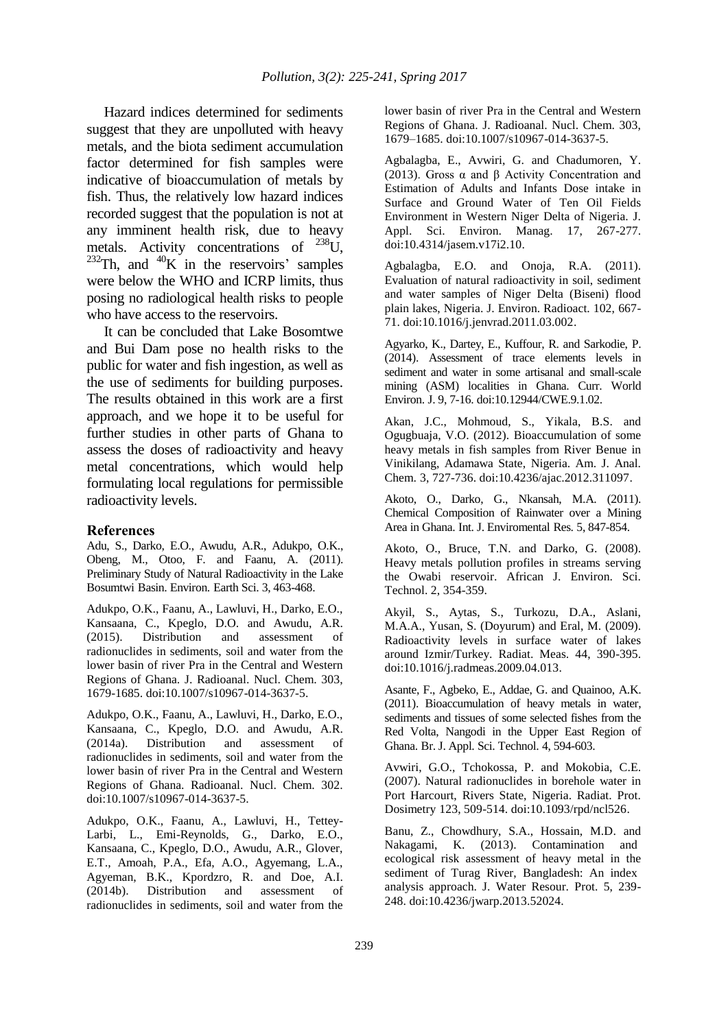Hazard indices determined for sediments suggest that they are unpolluted with heavy metals, and the biota sediment accumulation factor determined for fish samples were indicative of bioaccumulation of metals by fish. Thus, the relatively low hazard indices recorded suggest that the population is not at any imminent health risk, due to heavy metals. Activity concentrations of <sup>238</sup>U.  $^{232}$ Th, and  $^{40}$ K in the reservoirs' samples were below the WHO and ICRP limits, thus posing no radiological health risks to people who have access to the reservoirs.

It can be concluded that Lake Bosomtwe and Bui Dam pose no health risks to the public for water and fish ingestion, as well as the use of sediments for building purposes. The results obtained in this work are a first approach, and we hope it to be useful for further studies in other parts of Ghana to assess the doses of radioactivity and heavy metal concentrations, which would help formulating local regulations for permissible radioactivity levels.

#### **References**

Adu, S., Darko, E.O., Awudu, A.R., Adukpo, O.K., Obeng, M., Otoo, F. and Faanu, A. (2011). Preliminary Study of Natural Radioactivity in the Lake Bosumtwi Basin. Environ. Earth Sci. 3, 463-468.

Adukpo, O.K., Faanu, A., Lawluvi, H., Darko, E.O., Kansaana, C., Kpeglo, D.O. and Awudu, A.R. (2015). Distribution and assessment of radionuclides in sediments, soil and water from the lower basin of river Pra in the Central and Western Regions of Ghana. J. Radioanal. Nucl. Chem. 303, 1679-1685. doi:10.1007/s10967-014-3637-5.

Adukpo, O.K., Faanu, A., Lawluvi, H., Darko, E.O., Kansaana, C., Kpeglo, D.O. and Awudu, A.R. (2014a). Distribution and assessment of radionuclides in sediments, soil and water from the lower basin of river Pra in the Central and Western Regions of Ghana. Radioanal. Nucl. Chem. 302. doi:10.1007/s10967-014-3637-5.

Adukpo, O.K., Faanu, A., Lawluvi, H., Tettey-Larbi, L., Emi-Reynolds, G., Darko, E.O., Kansaana, C., Kpeglo, D.O., Awudu, A.R., Glover, E.T., Amoah, P.A., Efa, A.O., Agyemang, L.A., Agyeman, B.K., Kpordzro, R. and Doe, A.I. (2014b). Distribution and assessment of radionuclides in sediments, soil and water from the lower basin of river Pra in the Central and Western Regions of Ghana. J. Radioanal. Nucl. Chem. 303, 1679–1685. doi:10.1007/s10967-014-3637-5.

Agbalagba, E., Avwiri, G. and Chadumoren, Y. (2013). Gross α and β Activity Concentration and Estimation of Adults and Infants Dose intake in Surface and Ground Water of Ten Oil Fields Environment in Western Niger Delta of Nigeria. J. Appl. Sci. Environ. Manag. 17, 267-277. doi:10.4314/jasem.v17i2.10.

Agbalagba, E.O. and Onoja, R.A. (2011). Evaluation of natural radioactivity in soil, sediment and water samples of Niger Delta (Biseni) flood plain lakes, Nigeria. J. Environ. Radioact. 102, 667- 71. doi:10.1016/j.jenvrad.2011.03.002.

Agyarko, K., Dartey, E., Kuffour, R. and Sarkodie, P. (2014). Assessment of trace elements levels in sediment and water in some artisanal and small-scale mining (ASM) localities in Ghana. Curr. World Environ. J. 9, 7-16. doi:10.12944/CWE.9.1.02.

Akan, J.C., Mohmoud, S., Yikala, B.S. and Ogugbuaja, V.O. (2012). Bioaccumulation of some heavy metals in fish samples from River Benue in Vinikilang, Adamawa State, Nigeria. Am. J. Anal. Chem. 3, 727-736. doi:10.4236/ajac.2012.311097.

Akoto, O., Darko, G., Nkansah, M.A. (2011). Chemical Composition of Rainwater over a Mining Area in Ghana. Int. J. Enviromental Res. 5, 847-854.

Akoto, O., Bruce, T.N. and Darko, G. (2008). Heavy metals pollution profiles in streams serving the Owabi reservoir. African J. Environ. Sci. Technol. 2, 354-359.

Akyil, S., Aytas, S., Turkozu, D.A., Aslani, M.A.A., Yusan, S. (Doyurum) and Eral, M. (2009). Radioactivity levels in surface water of lakes around Izmir/Turkey. Radiat. Meas. 44, 390-395. doi:10.1016/j.radmeas.2009.04.013.

Asante, F., Agbeko, E., Addae, G. and Quainoo, A.K. (2011). Bioaccumulation of heavy metals in water, sediments and tissues of some selected fishes from the Red Volta, Nangodi in the Upper East Region of Ghana. Br. J. Appl. Sci. Technol. 4, 594-603.

Avwiri, G.O., Tchokossa, P. and Mokobia, C.E. (2007). Natural radionuclides in borehole water in Port Harcourt, Rivers State, Nigeria. Radiat. Prot. Dosimetry 123, 509-514. doi:10.1093/rpd/ncl526.

Banu, Z., Chowdhury, S.A., Hossain, M.D. and Nakagami, K. (2013). Contamination and ecological risk assessment of heavy metal in the sediment of Turag River, Bangladesh: An index analysis approach. J. Water Resour. Prot. 5, 239- 248. doi:10.4236/jwarp.2013.52024.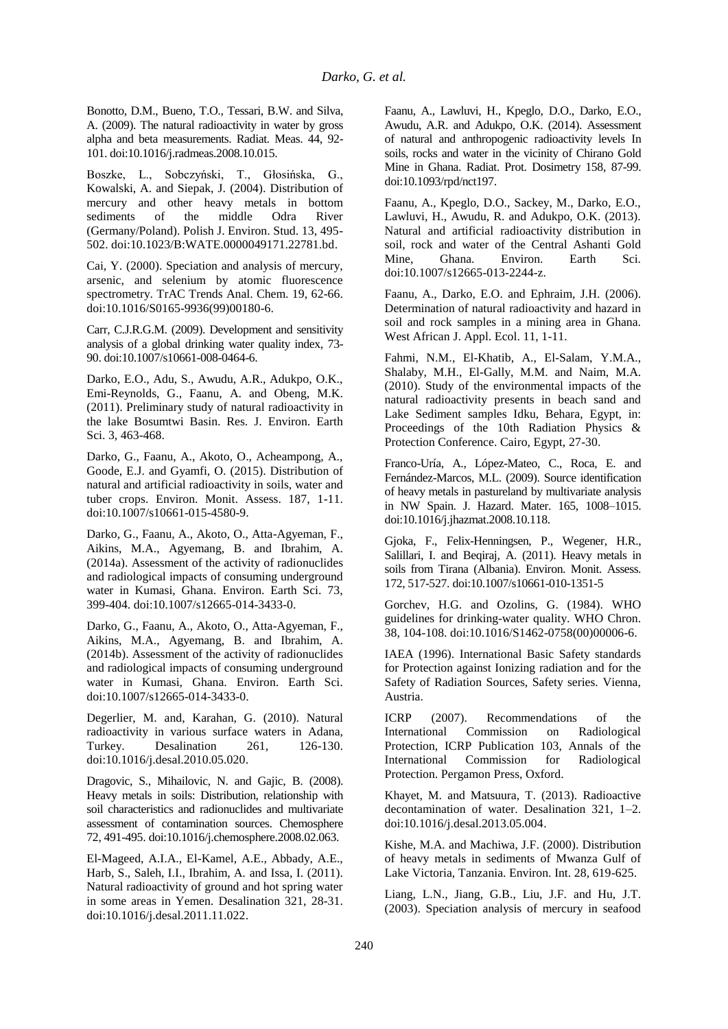Bonotto, D.M., Bueno, T.O., Tessari, B.W. and Silva, A. (2009). The natural radioactivity in water by gross alpha and beta measurements. Radiat. Meas. 44, 92- 101. doi:10.1016/j.radmeas.2008.10.015.

Boszke, L., Sobczyński, T., Głosińska, G., Kowalski, A. and Siepak, J. (2004). Distribution of mercury and other heavy metals in bottom sediments of the middle Odra River (Germany/Poland). Polish J. Environ. Stud. 13, 495- 502. doi:10.1023/B:WATE.0000049171.22781.bd.

Cai, Y. (2000). Speciation and analysis of mercury, arsenic, and selenium by atomic fluorescence spectrometry. TrAC Trends Anal. Chem. 19, 62-66. doi:10.1016/S0165-9936(99)00180-6.

Carr, C.J.R.G.M. (2009). Development and sensitivity analysis of a global drinking water quality index, 73- 90. doi:10.1007/s10661-008-0464-6.

Darko, E.O., Adu, S., Awudu, A.R., Adukpo, O.K., Emi-Reynolds, G., Faanu, A. and Obeng, M.K. (2011). Preliminary study of natural radioactivity in the lake Bosumtwi Basin. Res. J. Environ. Earth Sci. 3, 463-468.

Darko, G., Faanu, A., Akoto, O., Acheampong, A., Goode, E.J. and Gyamfi, O. (2015). Distribution of natural and artificial radioactivity in soils, water and tuber crops. Environ. Monit. Assess. 187, 1-11. doi:10.1007/s10661-015-4580-9.

Darko, G., Faanu, A., Akoto, O., Atta-Agyeman, F., Aikins, M.A., Agyemang, B. and Ibrahim, A. (2014a). Assessment of the activity of radionuclides and radiological impacts of consuming underground water in Kumasi, Ghana. Environ. Earth Sci. 73, 399-404. doi:10.1007/s12665-014-3433-0.

Darko, G., Faanu, A., Akoto, O., Atta-Agyeman, F., Aikins, M.A., Agyemang, B. and Ibrahim, A. (2014b). Assessment of the activity of radionuclides and radiological impacts of consuming underground water in Kumasi, Ghana. Environ. Earth Sci. doi:10.1007/s12665-014-3433-0.

Degerlier, M. and, Karahan, G. (2010). Natural radioactivity in various surface waters in Adana, Turkey. Desalination 261, 126-130. doi:10.1016/j.desal.2010.05.020.

Dragovic, S., Mihailovic, N. and Gajic, B. (2008). Heavy metals in soils: Distribution, relationship with soil characteristics and radionuclides and multivariate assessment of contamination sources. Chemosphere 72, 491-495. doi:10.1016/j.chemosphere.2008.02.063.

El-Mageed, A.I.A., El-Kamel, A.E., Abbady, A.E., Harb, S., Saleh, I.I., Ibrahim, A. and Issa, I. (2011). Natural radioactivity of ground and hot spring water in some areas in Yemen. Desalination 321, 28-31. doi:10.1016/j.desal.2011.11.022.

Faanu, A., Lawluvi, H., Kpeglo, D.O., Darko, E.O., Awudu, A.R. and Adukpo, O.K. (2014). Assessment of natural and anthropogenic radioactivity levels In soils, rocks and water in the vicinity of Chirano Gold Mine in Ghana. Radiat. Prot. Dosimetry 158, 87-99. doi:10.1093/rpd/nct197.

Faanu, A., Kpeglo, D.O., Sackey, M., Darko, E.O., Lawluvi, H., Awudu, R. and Adukpo, O.K. (2013). Natural and artificial radioactivity distribution in soil, rock and water of the Central Ashanti Gold Mine, Ghana. Environ. Earth Sci. doi:10.1007/s12665-013-2244-z.

Faanu, A., Darko, E.O. and Ephraim, J.H. (2006). Determination of natural radioactivity and hazard in soil and rock samples in a mining area in Ghana. West African J. Appl. Ecol. 11, 1-11.

Fahmi, N.M., El-Khatib, A., El-Salam, Y.M.A., Shalaby, M.H., El-Gally, M.M. and Naim, M.A. (2010). Study of the environmental impacts of the natural radioactivity presents in beach sand and Lake Sediment samples Idku, Behara, Egypt, in: Proceedings of the 10th Radiation Physics & Protection Conference. Cairo, Egypt, 27-30.

Franco-Uría, A., López-Mateo, C., Roca, E. and Fernández-Marcos, M.L. (2009). Source identification of heavy metals in pastureland by multivariate analysis in NW Spain. J. Hazard. Mater. 165, 1008–1015. doi:10.1016/j.jhazmat.2008.10.118.

Gjoka, F., Felix-Henningsen, P., Wegener, H.R., Salillari, I. and Beqiraj, A. (2011). Heavy metals in soils from Tirana (Albania). Environ. Monit. Assess. 172, 517-527. doi:10.1007/s10661-010-1351-5

Gorchev, H.G. and Ozolins, G. (1984). WHO guidelines for drinking-water quality. WHO Chron. 38, 104-108. doi:10.1016/S1462-0758(00)00006-6.

IAEA (1996). International Basic Safety standards for Protection against Ionizing radiation and for the Safety of Radiation Sources, Safety series. Vienna, Austria.

ICRP (2007). Recommendations of the International Commission on Radiological Protection, ICRP Publication 103, Annals of the International Commission for Radiological Protection. Pergamon Press, Oxford.

Khayet, M. and Matsuura, T. (2013). Radioactive decontamination of water. Desalination 321, 1–2. doi:10.1016/j.desal.2013.05.004.

Kishe, M.A. and Machiwa, J.F. (2000). Distribution of heavy metals in sediments of Mwanza Gulf of Lake Victoria, Tanzania. Environ. Int. 28, 619-625.

Liang, L.N., Jiang, G.B., Liu, J.F. and Hu, J.T. (2003). Speciation analysis of mercury in seafood